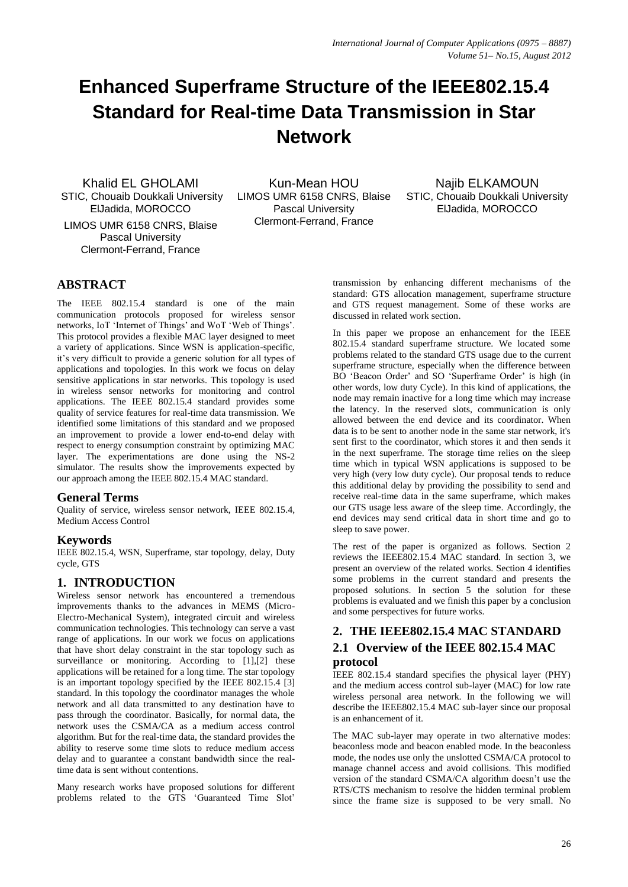# **Enhanced Superframe Structure of the IEEE802.15.4 Standard for Real-time Data Transmission in Star Network**

Khalid EL GHOLAMI STIC, Chouaib Doukkali University ElJadida, MOROCCO LIMOS UMR 6158 CNRS, Blaise Pascal University Clermont-Ferrand, France

Kun-Mean HOU LIMOS UMR 6158 CNRS, Blaise Pascal University Clermont-Ferrand, France

Najib ELKAMOUN STIC, Chouaib Doukkali University ElJadida, MOROCCO

## **ABSTRACT**

The IEEE 802.15.4 standard is one of the main communication protocols proposed for wireless sensor networks, IoT 'Internet of Things' and WoT 'Web of Things'. This protocol provides a flexible MAC layer designed to meet a variety of applications. Since WSN is application-specific, it's very difficult to provide a generic solution for all types of applications and topologies. In this work we focus on delay sensitive applications in star networks. This topology is used in wireless sensor networks for monitoring and control applications. The IEEE 802.15.4 standard provides some quality of service features for real-time data transmission. We identified some limitations of this standard and we proposed an improvement to provide a lower end-to-end delay with respect to energy consumption constraint by optimizing MAC layer. The experimentations are done using the NS-2 simulator. The results show the improvements expected by our approach among the IEEE 802.15.4 MAC standard.

## **General Terms**

Quality of service, wireless sensor network, IEEE 802.15.4, Medium Access Control

## **Keywords**

IEEE 802.15.4, WSN, Superframe, star topology, delay, Duty cycle, GTS

## **1. INTRODUCTION**

Wireless sensor network has encountered a tremendous improvements thanks to the advances in MEMS (Micro-Electro-Mechanical System), integrated circuit and wireless communication technologies. This technology can serve a vast range of applications. In our work we focus on applications that have short delay constraint in the star topology such as surveillance or monitoring. According to [\[1\]](#page-6-0)[,\[2\]](#page-6-1) these applications will be retained for a long time. The star topology is an important topology specified by the IEEE 802.15.4 [\[3\]](#page-6-2) standard. In this topology the coordinator manages the whole network and all data transmitted to any destination have to pass through the coordinator. Basically, for normal data, the network uses the CSMA/CA as a medium access control algorithm. But for the real-time data, the standard provides the ability to reserve some time slots to reduce medium access delay and to guarantee a constant bandwidth since the realtime data is sent without contentions.

Many research works have proposed solutions for different problems related to the GTS 'Guaranteed Time Slot'

transmission by enhancing different mechanisms of the standard: GTS allocation management, superframe structure and GTS request management. Some of these works are discussed in related work section.

In this paper we propose an enhancement for the IEEE 802.15.4 standard superframe structure. We located some problems related to the standard GTS usage due to the current superframe structure, especially when the difference between BO 'Beacon Order' and SO 'Superframe Order' is high (in other words, low duty Cycle). In this kind of applications, the node may remain inactive for a long time which may increase the latency. In the reserved slots, communication is only allowed between the end device and its coordinator. When data is to be sent to another node in the same star network, it's sent first to the coordinator, which stores it and then sends it in the next superframe. The storage time relies on the sleep time which in typical WSN applications is supposed to be very high (very low duty cycle). Our proposal tends to reduce this additional delay by providing the possibility to send and receive real-time data in the same superframe, which makes our GTS usage less aware of the sleep time. Accordingly, the end devices may send critical data in short time and go to sleep to save power.

The rest of the paper is organized as follows. Section 2 reviews the IEEE802.15.4 MAC standard. In section 3, we present an overview of the related works. Section 4 identifies some problems in the current standard and presents the proposed solutions. In section 5 the solution for these problems is evaluated and we finish this paper by a conclusion and some perspectives for future works.

## **2. THE IEEE802.15.4 MAC STANDARD**

## **2.1 Overview of the IEEE 802.15.4 MAC protocol**

IEEE 802.15.4 standard specifies the physical layer (PHY) and the medium access control sub-layer (MAC) for low rate wireless personal area network. In the following we will describe the IEEE802.15.4 MAC sub-layer since our proposal is an enhancement of it.

The MAC sub-layer may operate in two alternative modes: beaconless mode and beacon enabled mode. In the beaconless mode, the nodes use only the unslotted CSMA/CA protocol to manage channel access and avoid collisions. This modified version of the standard CSMA/CA algorithm doesn't use the RTS/CTS mechanism to resolve the hidden terminal problem since the frame size is supposed to be very small. No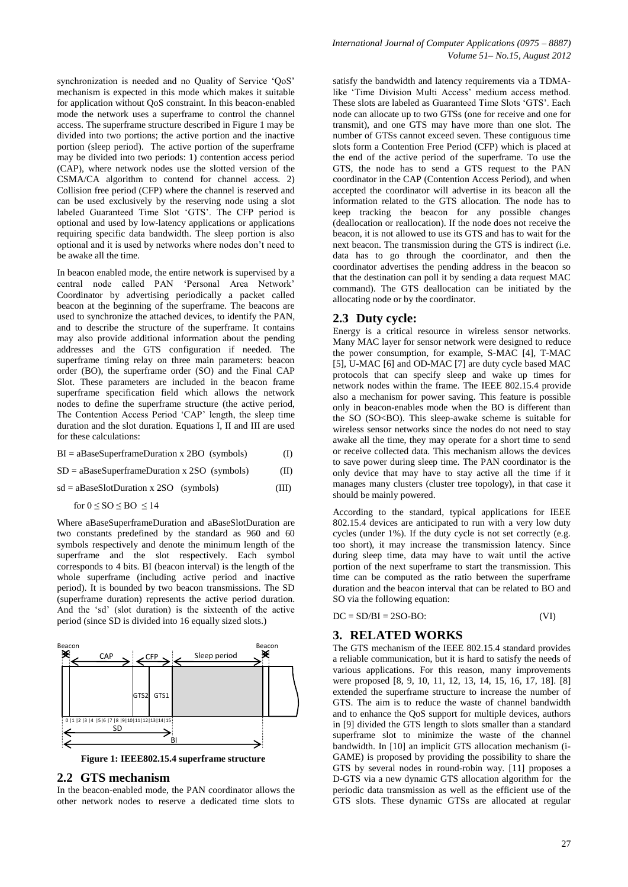synchronization is needed and no Quality of Service 'QoS' mechanism is expected in this mode which makes it suitable for application without QoS constraint. In this beacon-enabled mode the network uses a superframe to control the channel access. The superframe structure described in Figure 1 may be divided into two portions; the active portion and the inactive portion (sleep period). The active portion of the superframe may be divided into two periods: 1) contention access period (CAP), where network nodes use the slotted version of the CSMA/CA algorithm to contend for channel access. 2) Collision free period (CFP) where the channel is reserved and can be used exclusively by the reserving node using a slot labeled Guaranteed Time Slot 'GTS'. The CFP period is optional and used by low-latency applications or applications requiring specific data bandwidth. The sleep portion is also optional and it is used by networks where nodes don't need to be awake all the time.

In beacon enabled mode, the entire network is supervised by a central node called PAN 'Personal Area Network' Coordinator by advertising periodically a packet called beacon at the beginning of the superframe. The beacons are used to synchronize the attached devices, to identify the PAN, and to describe the structure of the superframe. It contains may also provide additional information about the pending addresses and the GTS configuration if needed. The superframe timing relay on three main parameters: beacon order (BO), the superframe order (SO) and the Final CAP Slot. These parameters are included in the beacon frame superframe specification field which allows the network nodes to define the superframe structure (the active period, The Contention Access Period 'CAP' length, the sleep time duration and the slot duration. Equations I, II and III are used for these calculations:

BI = aBaseSuperframeDuration x 2BO (symbols) (I)

 $SD = aBaseSuperframeDuration \times 2SO$  (symbols) (II)

sd = aBaseSlotDuration x 2SO (symbols) (III)

for  $0 \leq SO \leq BO \leq 14$ 

Where aBaseSuperframeDuration and aBaseSlotDuration are two constants predefined by the standard as 960 and 60 symbols respectively and denote the minimum length of the superframe and the slot respectively. Each symbol corresponds to 4 bits. BI (beacon interval) is the length of the whole superframe (including active period and inactive period). It is bounded by two beacon transmissions. The SD (superframe duration) represents the active period duration. And the 'sd' (slot duration) is the sixteenth of the active period (since SD is divided into 16 equally sized slots.)



**Figure 1: IEEE802.15.4 superframe structure**

#### **2.2 GTS mechanism**

In the beacon-enabled mode, the PAN coordinator allows the other network nodes to reserve a dedicated time slots to

satisfy the bandwidth and latency requirements via a TDMAlike 'Time Division Multi Access' medium access method. These slots are labeled as Guaranteed Time Slots 'GTS'. Each node can allocate up to two GTSs (one for receive and one for transmit), and one GTS may have more than one slot. The number of GTSs cannot exceed seven. These contiguous time slots form a Contention Free Period (CFP) which is placed at the end of the active period of the superframe. To use the GTS, the node has to send a GTS request to the PAN coordinator in the CAP (Contention Access Period), and when accepted the coordinator will advertise in its beacon all the information related to the GTS allocation. The node has to keep tracking the beacon for any possible changes (deallocation or reallocation). If the node does not receive the beacon, it is not allowed to use its GTS and has to wait for the next beacon. The transmission during the GTS is indirect (i.e. data has to go through the coordinator, and then the coordinator advertises the pending address in the beacon so that the destination can poll it by sending a data request MAC command). The GTS deallocation can be initiated by the allocating node or by the coordinator.

#### **2.3 Duty cycle:**

Energy is a critical resource in wireless sensor networks. Many MAC layer for sensor network were designed to reduce the power consumption, for example, S-MAC [4], T-MAC [5], U-MAC [6] and OD-MAC [7] are duty cycle based MAC protocols that can specify sleep and wake up times for network nodes within the frame. The IEEE 802.15.4 provide also a mechanism for power saving. This feature is possible only in beacon-enables mode when the BO is different than the SO (SO<BO). This sleep-awake scheme is suitable for wireless sensor networks since the nodes do not need to stay awake all the time, they may operate for a short time to send or receive collected data. This mechanism allows the devices to save power during sleep time. The PAN coordinator is the only device that may have to stay active all the time if it manages many clusters (cluster tree topology), in that case it should be mainly powered.

According to the standard, typical applications for IEEE 802.15.4 devices are anticipated to run with a very low duty cycles (under 1%). If the duty cycle is not set correctly (e.g. too short), it may increase the transmission latency. Since during sleep time, data may have to wait until the active portion of the next superframe to start the transmission. This time can be computed as the ratio between the superframe duration and the beacon interval that can be related to BO and SO via the following equation:

| $DC = SD/BI = 2SO-BO$ : | (VI) |  |
|-------------------------|------|--|
|                         |      |  |

#### **3. RELATED WORKS**

The GTS mechanism of the IEEE 802.15.4 standard provides a reliable communication, but it is hard to satisfy the needs of various applications. For this reason, many improvements were proposed [8, 9, 10, 11, 12, 13, 14, 15, 16, 17, 18]. [\[8\]](#page-6-3) extended the superframe structure to increase the number of GTS. The aim is to reduce the waste of channel bandwidth and to enhance the QoS support for multiple devices, authors in [\[9\]](#page-6-4) divided the GTS length to slots smaller than a standard superframe slot to minimize the waste of the channel bandwidth. In [\[10\]](#page-6-5) an implicit GTS allocation mechanism (i-GAME) is proposed by providing the possibility to share the GTS by several nodes in round-robin way. [\[11\]](#page-6-6) proposes a D-GTS via a new dynamic GTS allocation algorithm for the periodic data transmission as well as the efficient use of the GTS slots. These dynamic GTSs are allocated at regular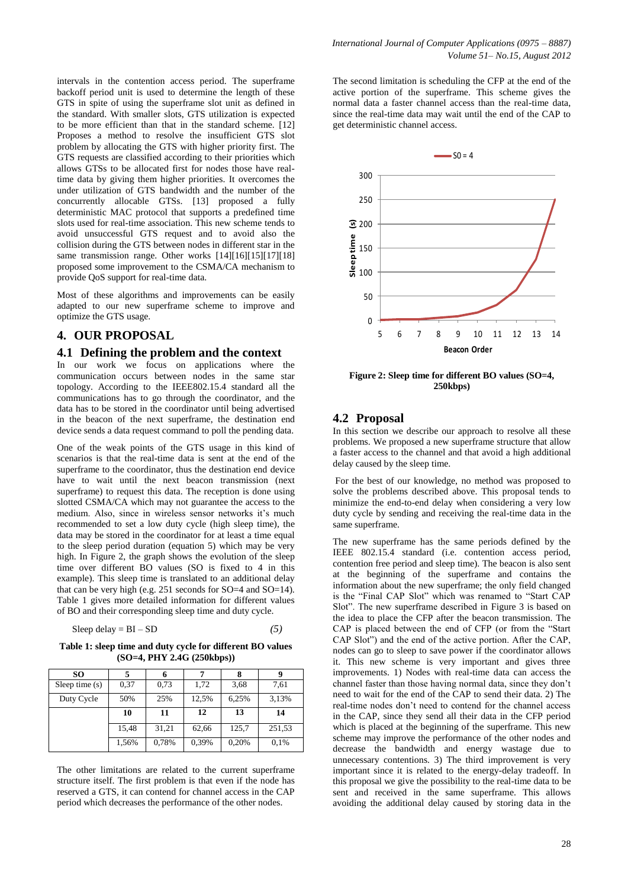intervals in the contention access period. The superframe backoff period unit is used to determine the length of these GTS in spite of using the superframe slot unit as defined in the standard. With smaller slots, GTS utilization is expected to be more efficient than that in the standard scheme. [\[12\]](#page-6-7) Proposes a method to resolve the insufficient GTS slot problem by allocating the GTS with higher priority first. The GTS requests are classified according to their priorities which allows GTSs to be allocated first for nodes those have realtime data by giving them higher priorities. It overcomes the under utilization of GTS bandwidth and the number of the concurrently allocable GTSs. [\[13\]](#page-6-8) proposed a fully deterministic MAC protocol that supports a predefined time slots used for real-time association. This new scheme tends to avoid unsuccessful GTS request and to avoid also the collision during the GTS between nodes in different star in the same transmission range. Other works [\[14\]\[16\]](#page-6-9)[\[15\]\[17\]](#page-6-10)[\[18\]](#page-6-11) proposed some improvement to the CSMA/CA mechanism to provide QoS support for real-time data.

Most of these algorithms and improvements can be easily adapted to our new superframe scheme to improve and optimize the GTS usage.

#### **4. OUR PROPOSAL**

#### **4.1 Defining the problem and the context**

In our work we focus on applications where the communication occurs between nodes in the same star topology. According to the IEEE802.15.4 standard all the communications has to go through the coordinator, and the data has to be stored in the coordinator until being advertised in the beacon of the next superframe, the destination end device sends a data request command to poll the pending data.

One of the weak points of the GTS usage in this kind of scenarios is that the real-time data is sent at the end of the superframe to the coordinator, thus the destination end device have to wait until the next beacon transmission (next superframe) to request this data. The reception is done using slotted CSMA/CA which may not guarantee the access to the medium. Also, since in wireless sensor networks it's much recommended to set a low duty cycle (high sleep time), the data may be stored in the coordinator for at least a time equal to the sleep period duration (equation 5) which may be very high. In [Figure 2,](#page-2-0) the graph shows the evolution of the sleep time over different BO values (SO is fixed to 4 in this example). This sleep time is translated to an additional delay that can be very high (e.g. 251 seconds for SO=4 and SO=14). Table 1 gives more detailed information for different values of BO and their corresponding sleep time and duty cycle.

$$
Sleep delay = BI - SD
$$
 (5)

**Table 1: sleep time and duty cycle for different BO values (SO=4, PHY 2.4G (250kbps))**

| SO.              |       |       |       |       | g      |
|------------------|-------|-------|-------|-------|--------|
| Sleep time $(s)$ | 0.37  | 0,73  | 1,72  | 3,68  | 7,61   |
| Duty Cycle       | 50%   | 25%   | 12,5% | 6,25% | 3,13%  |
|                  | 10    | 11    | 12    | 13    | 14     |
|                  | 15,48 | 31,21 | 62,66 | 125,7 | 251,53 |
|                  | 1,56% | 0,78% | 0,39% | 0,20% | 0,1%   |

The other limitations are related to the current superframe structure itself. The first problem is that even if the node has reserved a GTS, it can contend for channel access in the CAP period which decreases the performance of the other nodes.

The second limitation is scheduling the CFP at the end of the active portion of the superframe. This scheme gives the normal data a faster channel access than the real-time data, since the real-time data may wait until the end of the CAP to get deterministic channel access.



<span id="page-2-0"></span>**Figure 2: Sleep time for different BO values (SO=4, 250kbps)**

#### **4.2 Proposal**

In this section we describe our approach to resolve all these problems. We proposed a new superframe structure that allow a faster access to the channel and that avoid a high additional delay caused by the sleep time.

For the best of our knowledge, no method was proposed to solve the problems described above. This proposal tends to minimize the end-to-end delay when considering a very low duty cycle by sending and receiving the real-time data in the same superframe.

The new superframe has the same periods defined by the IEEE 802.15.4 standard (i.e. contention access period, contention free period and sleep time). The beacon is also sent at the beginning of the superframe and contains the information about the new superframe; the only field changed is the "Final CAP Slot" which was renamed to "Start CAP Slot". The new superframe described in [Figure 3](#page-3-0) is based on the idea to place the CFP after the beacon transmission. The CAP is placed between the end of CFP (or from the "Start CAP Slot") and the end of the active portion. After the CAP, nodes can go to sleep to save power if the coordinator allows it. This new scheme is very important and gives three improvements. 1) Nodes with real-time data can access the channel faster than those having normal data, since they don't need to wait for the end of the CAP to send their data. 2) The real-time nodes don't need to contend for the channel access in the CAP, since they send all their data in the CFP period which is placed at the beginning of the superframe. This new scheme may improve the performance of the other nodes and decrease the bandwidth and energy wastage due to unnecessary contentions. 3) The third improvement is very important since it is related to the energy-delay tradeoff. In this proposal we give the possibility to the real-time data to be sent and received in the same superframe. This allows avoiding the additional delay caused by storing data in the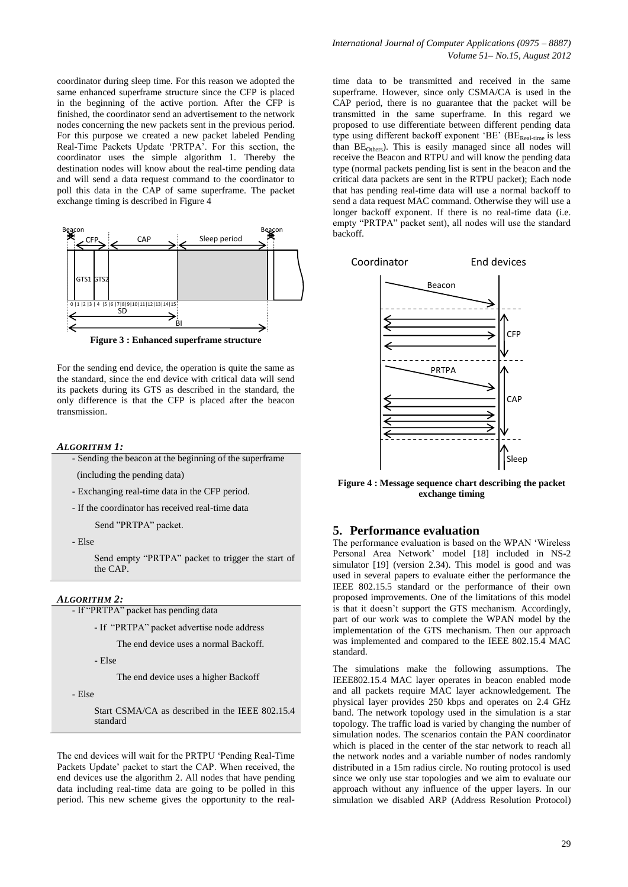coordinator during sleep time. For this reason we adopted the same enhanced superframe structure since the CFP is placed in the beginning of the active portion. After the CFP is finished, the coordinator send an advertisement to the network nodes concerning the new packets sent in the previous period. For this purpose we created a new packet labeled Pending Real-Time Packets Update 'PRTPA'. For this section, the coordinator uses the simple algorithm 1. Thereby the destination nodes will know about the real-time pending data and will send a data request command to the coordinator to poll this data in the CAP of same superframe. The packet exchange timing is described i[n Figure 4](#page-3-1)



**Figure 3 : Enhanced superframe structure**

<span id="page-3-0"></span>For the sending end device, the operation is quite the same as the standard, since the end device with critical data will send its packets during its GTS as described in the standard, the only difference is that the CFP is placed after the beacon transmission.

#### *ALGORITHM 1:*

- Sending the beacon at the beginning of the superframe

(including the pending data)

- Exchanging real-time data in the CFP period.

- If the coordinator has received real-time data

Send "PRTPA" packet.

- Else

Send empty "PRTPA" packet to trigger the start of the CAP.

#### *ALGORITHM 2:*

- If "PRTPA" packet has pending data

- If "PRTPA" packet advertise node address

The end device uses a normal Backoff.

- Else

The end device uses a higher Backoff

- Else

Start CSMA/CA as described in the IEEE 802.15.4 standard

The end devices will wait for the PRTPU 'Pending Real-Time Packets Update' packet to start the CAP. When received, the end devices use the algorithm 2. All nodes that have pending data including real-time data are going to be polled in this period. This new scheme gives the opportunity to the realtime data to be transmitted and received in the same superframe. However, since only CSMA/CA is used in the CAP period, there is no guarantee that the packet will be transmitted in the same superframe. In this regard we proposed to use differentiate between different pending data type using different backoff exponent 'BE' ( $BE_{\text{Real-time}}$  is less than  $BE<sub>Other</sub>$ ). This is easily managed since all nodes will receive the Beacon and RTPU and will know the pending data type (normal packets pending list is sent in the beacon and the critical data packets are sent in the RTPU packet); Each node that has pending real-time data will use a normal backoff to send a data request MAC command. Otherwise they will use a longer backoff exponent. If there is no real-time data (i.e. empty "PRTPA" packet sent), all nodes will use the standard backoff.



<span id="page-3-1"></span>**Figure 4 : Message sequence chart describing the packet exchange timing**

#### **5. Performance evaluation**

The performance evaluation is based on the WPAN 'Wireless Personal Area Network' model [\[18\]](#page-6-11) included in NS-2 simulator [\[19\]](#page-6-12) (version 2.34). This model is good and was used in several papers to evaluate either the performance the IEEE 802.15.5 standard or the performance of their own proposed improvements. One of the limitations of this model is that it doesn't support the GTS mechanism. Accordingly, part of our work was to complete the WPAN model by the implementation of the GTS mechanism. Then our approach was implemented and compared to the IEEE 802.15.4 MAC standard.

The simulations make the following assumptions. The IEEE802.15.4 MAC layer operates in beacon enabled mode and all packets require MAC layer acknowledgement. The physical layer provides 250 kbps and operates on 2.4 GHz band. The network topology used in the simulation is a star topology. The traffic load is varied by changing the number of simulation nodes. The scenarios contain the PAN coordinator which is placed in the center of the star network to reach all the network nodes and a variable number of nodes randomly distributed in a 15m radius circle. No routing protocol is used since we only use star topologies and we aim to evaluate our approach without any influence of the upper layers. In our simulation we disabled ARP (Address Resolution Protocol)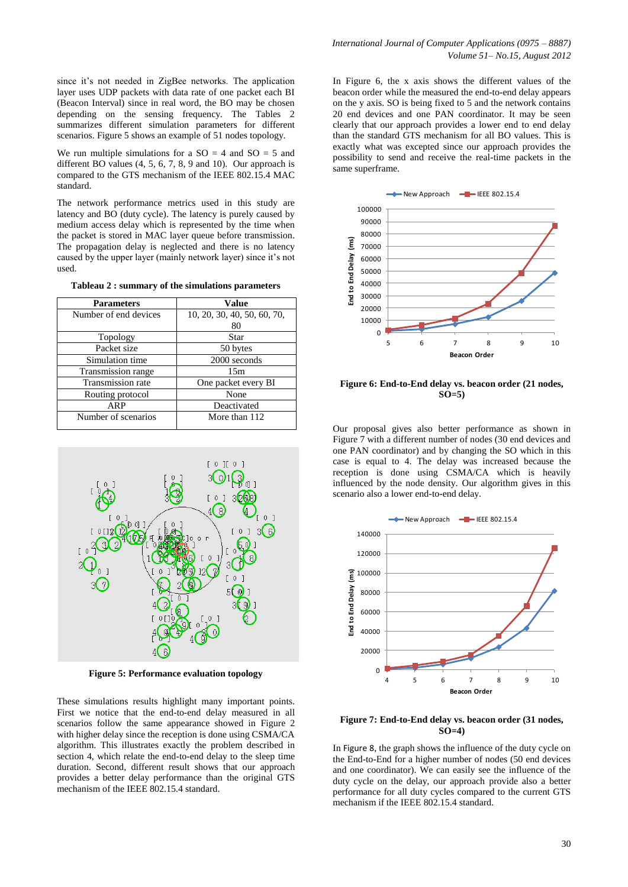since it's not needed in ZigBee networks. The application layer uses UDP packets with data rate of one packet each BI (Beacon Interval) since in real word, the BO may be chosen depending on the sensing frequency. The Tables 2 summarizes different simulation parameters for different scenarios. [Figure 5](#page-4-0) shows an example of 51 nodes topology.

We run multiple simulations for a  $SO = 4$  and  $SO = 5$  and different BO values (4, 5, 6, 7, 8, 9 and 10). Our approach is compared to the GTS mechanism of the IEEE 802.15.4 MAC standard.

The network performance metrics used in this study are latency and BO (duty cycle). The latency is purely caused by medium access delay which is represented by the time when the packet is stored in MAC layer queue before transmission. The propagation delay is neglected and there is no latency caused by the upper layer (mainly network layer) since it's not used.

**Tableau 2 : summary of the simulations parameters**

| <b>Parameters</b>     | <b>Value</b>                |
|-----------------------|-----------------------------|
| Number of end devices | 10, 20, 30, 40, 50, 60, 70, |
|                       | 80                          |
| Topology              | Star                        |
| Packet size           | 50 bytes                    |
| Simulation time       | 2000 seconds                |
| Transmission range    | 15m                         |
| Transmission rate     | One packet every BI         |
| Routing protocol      | None                        |
| ARP                   | Deactivated                 |
| Number of scenarios   | More than 112               |
|                       |                             |



**Figure 5: Performance evaluation topology**

<span id="page-4-0"></span>These simulations results highlight many important points. First we notice that the end-to-end delay measured in all scenarios follow the same appearance showed in [Figure 2](#page-2-0) with higher delay since the reception is done using CSMA/CA algorithm. This illustrates exactly the problem described in section 4, which relate the end-to-end delay to the sleep time duration. Second, different result shows that our approach provides a better delay performance than the original GTS mechanism of the IEEE 802.15.4 standard.

In [Figure 6,](#page-4-1) the x axis shows the different values of the beacon order while the measured the end-to-end delay appears on the y axis. SO is being fixed to 5 and the network contains 20 end devices and one PAN coordinator. It may be seen clearly that our approach provides a lower end to end delay than the standard GTS mechanism for all BO values. This is exactly what was excepted since our approach provides the possibility to send and receive the real-time packets in the same superframe.



<span id="page-4-1"></span>**Figure 6: End-to-End delay vs. beacon order (21 nodes, SO=5)**

Our proposal gives also better performance as shown in [Figure 7](#page-4-2) with a different number of nodes (30 end devices and one PAN coordinator) and by changing the SO which in this case is equal to 4. The delay was increased because the reception is done using CSMA/CA which is heavily influenced by the node density. Our algorithm gives in this scenario also a lower end-to-end delay.



<span id="page-4-2"></span>**Figure 7: End-to-End delay vs. beacon order (31 nodes, SO=4)**

In [Figure 8](#page-5-0), the graph shows the influence of the duty cycle on the End-to-End for a higher number of nodes (50 end devices and one coordinator). We can easily see the influence of the duty cycle on the delay, our approach provide also a better performance for all duty cycles compared to the current GTS mechanism if the IEEE 802.15.4 standard.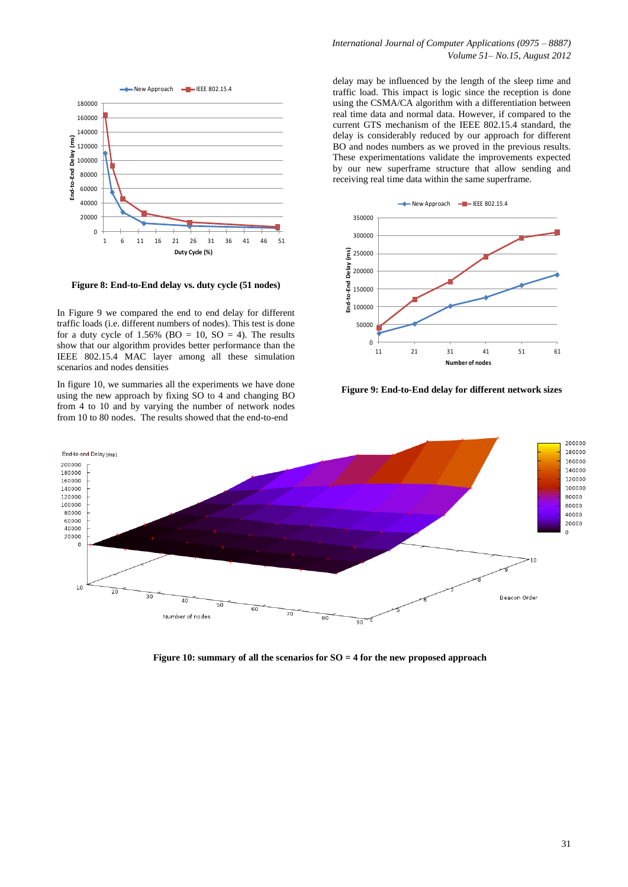

<span id="page-5-0"></span>**Figure 8: End-to-End delay vs. duty cycle (51 nodes)**

In [Figure 9](#page-5-1) we compared the end to end delay for different traffic loads (i.e. different numbers of nodes). This test is done for a duty cycle of  $1.56\%$  (BO = 10, SO = 4). The results show that our algorithm provides better performance than the IEEE 802.15.4 MAC layer among all these simulation scenarios and nodes densities

In figure 10, we summaries all the experiments we have done using the new approach by fixing SO to 4 and changing BO from 4 to 10 and by varying the number of network nodes from 10 to 80 nodes. The results showed that the end-to-end

delay may be influenced by the length of the sleep time and traffic load. This impact is logic since the reception is done using the CSMA/CA algorithm with a differentiation between real time data and normal data. However, if compared to the current GTS mechanism of the IEEE 802.15.4 standard, the delay is considerably reduced by our approach for different BO and nodes numbers as we proved in the previous results. These experimentations validate the improvements expected by our new superframe structure that allow sending and receiving real time data within the same superframe.



<span id="page-5-1"></span>**Figure 9: End-to-End delay for different network sizes**



**Figure 10: summary of all the scenarios for SO = 4 for the new proposed approach**